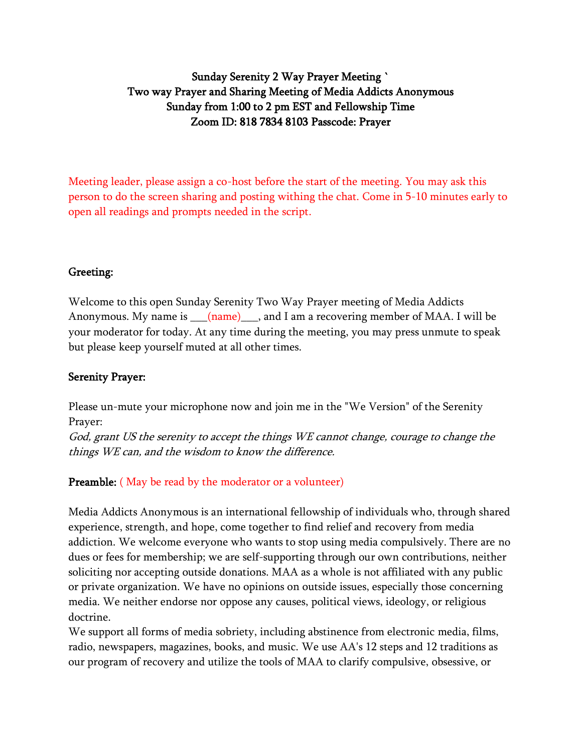## Sunday Serenity 2 Way Prayer Meeting ` Two way Prayer and Sharing Meeting of Media Addicts Anonymous Sunday from 1:00 to 2 pm EST and Fellowship Time Zoom ID: 818 7834 8103 Passcode: Prayer

Meeting leader, please assign a co-host before the start of the meeting. You may ask this person to do the screen sharing and posting withing the chat. Come in 5-10 minutes early to open all readings and prompts needed in the script.

#### Greeting:

Welcome to this open Sunday Serenity Two Way Prayer meeting of Media Addicts Anonymous. My name is  $\frac{(\text{name})}{(\text{name})}$ , and I am a recovering member of MAA. I will be your moderator for today. At any time during the meeting, you may press unmute to speak but please keep yourself muted at all other times.

#### Serenity Prayer:

Please un-mute your microphone now and join me in the "We Version" of the Serenity Prayer:

God, grant US the serenity to accept the things WE cannot change, courage to change the things WE can, and the wisdom to know the difference.

#### Preamble: (May be read by the moderator or a volunteer)

Media Addicts Anonymous is an international fellowship of individuals who, through shared experience, strength, and hope, come together to find relief and recovery from media addiction. We welcome everyone who wants to stop using media compulsively. There are no dues or fees for membership; we are self-supporting through our own contributions, neither soliciting nor accepting outside donations. MAA as a whole is not affiliated with any public or private organization. We have no opinions on outside issues, especially those concerning media. We neither endorse nor oppose any causes, political views, ideology, or religious doctrine.

We support all forms of media sobriety, including abstinence from electronic media, films, radio, newspapers, magazines, books, and music. We use AA's 12 steps and 12 traditions as our program of recovery and utilize the tools of MAA to clarify compulsive, obsessive, or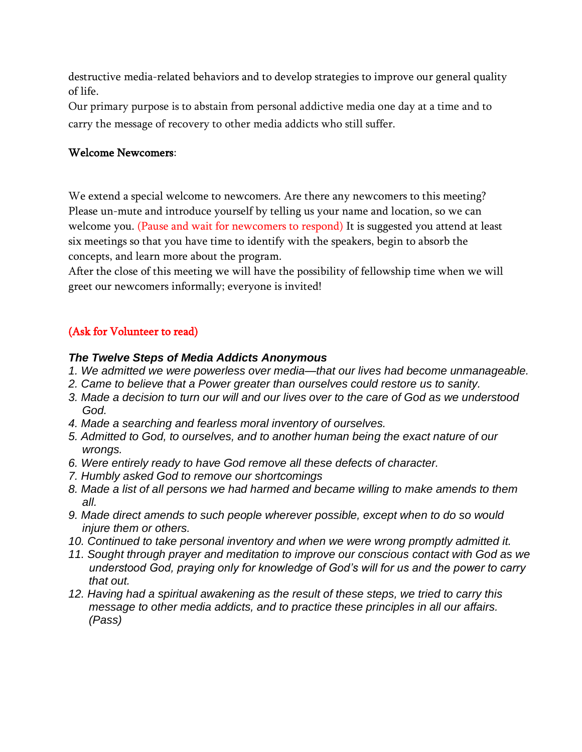destructive media-related behaviors and to develop strategies to improve our general quality of life.

Our primary purpose is to abstain from personal addictive media one day at a time and to carry the message of recovery to other media addicts who still suffer.

#### Welcome Newcomers:

We extend a special welcome to newcomers. Are there any newcomers to this meeting? Please un-mute and introduce yourself by telling us your name and location, so we can welcome you. (Pause and wait for newcomers to respond) It is suggested you attend at least six meetings so that you have time to identify with the speakers, begin to absorb the concepts, and learn more about the program.

After the close of this meeting we will have the possibility of fellowship time when we will greet our newcomers informally; everyone is invited!

## (Ask for Volunteer to read)

#### *The Twelve Steps of Media Addicts Anonymous*

- *1. We admitted we were powerless over media—that our lives had become unmanageable.*
- *2. Came to believe that a Power greater than ourselves could restore us to sanity.*
- *3. Made a decision to turn our will and our lives over to the care of God as we understood God.*
- *4. Made a searching and fearless moral inventory of ourselves.*
- *5. Admitted to God, to ourselves, and to another human being the exact nature of our wrongs.*
- *6. Were entirely ready to have God remove all these defects of character.*
- *7. Humbly asked God to remove our shortcomings*
- *8. Made a list of all persons we had harmed and became willing to make amends to them all.*
- *9. Made direct amends to such people wherever possible, except when to do so would injure them or others.*
- *10. Continued to take personal inventory and when we were wrong promptly admitted it.*
- *11. Sought through prayer and meditation to improve our conscious contact with God as we understood God, praying only for knowledge of God's will for us and the power to carry that out.*
- *12. Having had a spiritual awakening as the result of these steps, we tried to carry this message to other media addicts, and to practice these principles in all our affairs. (Pass)*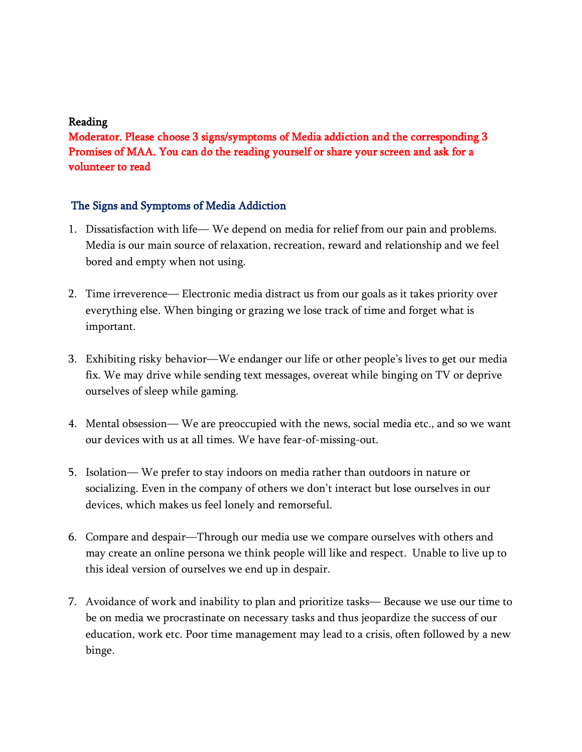#### Reading

Moderator. Please choose 3 signs/symptoms of Media addiction and the corresponding 3 Promises of MAA. You can do the reading yourself or share your screen and ask for a volunteer to read

#### The Signs and Symptoms of Media Addiction

- 1. Dissatisfaction with life— We depend on media for relief from our pain and problems. Media is our main source of relaxation, recreation, reward and relationship and we feel bored and empty when not using.
- 2. Time irreverence— Electronic media distract us from our goals as it takes priority over everything else. When binging or grazing we lose track of time and forget what is important.
- 3. Exhibiting risky behavior—We endanger our life or other people's lives to get our media fix. We may drive while sending text messages, overeat while binging on TV or deprive ourselves of sleep while gaming.
- 4. Mental obsession— We are preoccupied with the news, social media etc., and so we want our devices with us at all times. We have fear-of-missing-out.
- 5. Isolation— We prefer to stay indoors on media rather than outdoors in nature or socializing. Even in the company of others we don't interact but lose ourselves in our devices, which makes us feel lonely and remorseful.
- 6. Compare and despair—Through our media use we compare ourselves with others and may create an online persona we think people will like and respect. Unable to live up to this ideal version of ourselves we end up in despair.
- 7. Avoidance of work and inability to plan and prioritize tasks— Because we use our time to be on media we procrastinate on necessary tasks and thus jeopardize the success of our education, work etc. Poor time management may lead to a crisis, often followed by a new binge.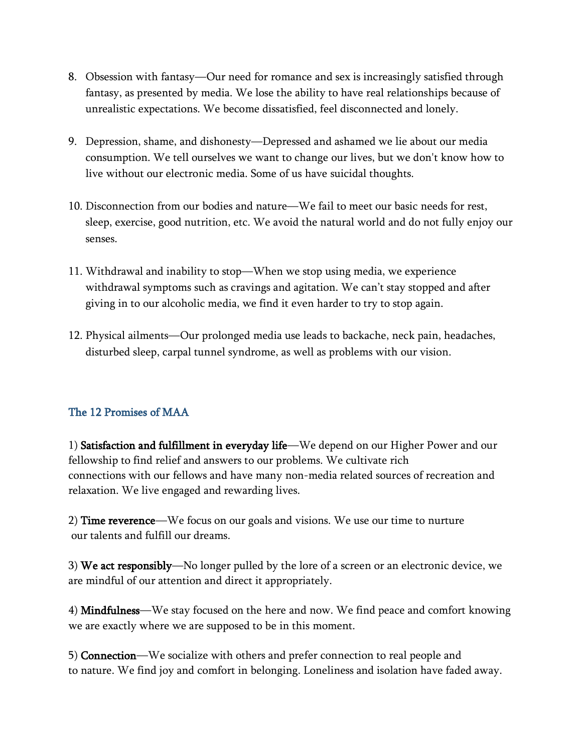- 8. Obsession with fantasy—Our need for romance and sex is increasingly satisfied through fantasy, as presented by media. We lose the ability to have real relationships because of unrealistic expectations. We become dissatisfied, feel disconnected and lonely.
- 9. Depression, shame, and dishonesty—Depressed and ashamed we lie about our media consumption. We tell ourselves we want to change our lives, but we don't know how to live without our electronic media. Some of us have suicidal thoughts.
- 10. Disconnection from our bodies and nature—We fail to meet our basic needs for rest, sleep, exercise, good nutrition, etc. We avoid the natural world and do not fully enjoy our senses.
- 11. Withdrawal and inability to stop—When we stop using media, we experience withdrawal symptoms such as cravings and agitation. We can't stay stopped and after giving in to our alcoholic media, we find it even harder to try to stop again.
- 12. Physical ailments—Our prolonged media use leads to backache, neck pain, headaches, disturbed sleep, carpal tunnel syndrome, as well as problems with our vision.

## The 12 Promises of MAA

1) Satisfaction and fulfillment in everyday life—We depend on our Higher Power and our fellowship to find relief and answers to our problems. We cultivate rich connections with our fellows and have many non-media related sources of recreation and relaxation. We live engaged and rewarding lives.

2) Time reverence—We focus on our goals and visions. We use our time to nurture our talents and fulfill our dreams.

3) We act responsibly—No longer pulled by the lore of a screen or an electronic device, we are mindful of our attention and direct it appropriately.

4) Mindfulness—We stay focused on the here and now. We find peace and comfort knowing we are exactly where we are supposed to be in this moment.

5) Connection—We socialize with others and prefer connection to real people and to nature. We find joy and comfort in belonging. Loneliness and isolation have faded away.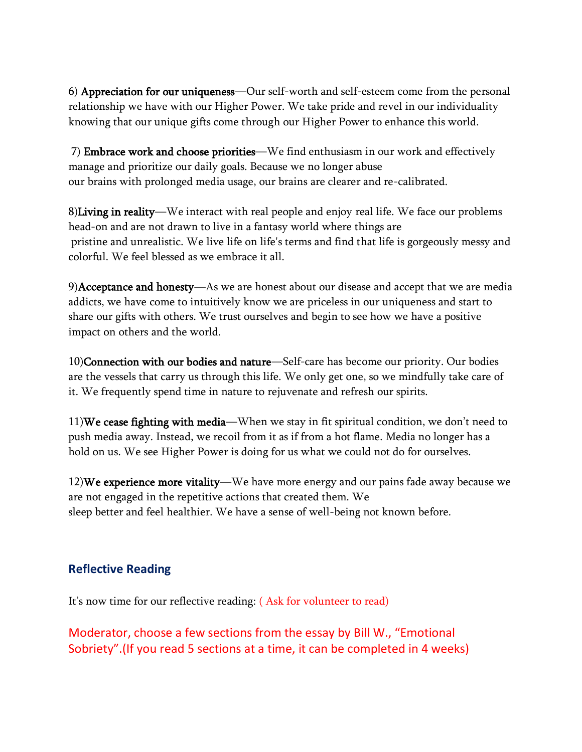6) Appreciation for our uniqueness—Our self-worth and self-esteem come from the personal relationship we have with our Higher Power. We take pride and revel in our individuality knowing that our unique gifts come through our Higher Power to enhance this world.

7) Embrace work and choose priorities—We find enthusiasm in our work and effectively manage and prioritize our daily goals. Because we no longer abuse our brains with prolonged media usage, our brains are clearer and re-calibrated.

8)Living in reality—We interact with real people and enjoy real life. We face our problems head-on and are not drawn to live in a fantasy world where things are pristine and unrealistic. We live life on life's terms and find that life is gorgeously messy and colorful. We feel blessed as we embrace it all.

9)Acceptance and honesty—As we are honest about our disease and accept that we are media addicts, we have come to intuitively know we are priceless in our uniqueness and start to share our gifts with others. We trust ourselves and begin to see how we have a positive impact on others and the world.

10)Connection with our bodies and nature—Self-care has become our priority. Our bodies are the vessels that carry us through this life. We only get one, so we mindfully take care of it. We frequently spend time in nature to rejuvenate and refresh our spirits.

11)We cease fighting with media—When we stay in fit spiritual condition, we don't need to push media away. Instead, we recoil from it as if from a hot flame. Media no longer has a hold on us. We see Higher Power is doing for us what we could not do for ourselves.

12)We experience more vitality—We have more energy and our pains fade away because we are not engaged in the repetitive actions that created them. We sleep better and feel healthier. We have a sense of well-being not known before.

## **Reflective Reading**

It's now time for our reflective reading: ( Ask for volunteer to read)

Moderator, choose a few sections from the essay by Bill W., "Emotional Sobriety".(If you read 5 sections at a time, it can be completed in 4 weeks)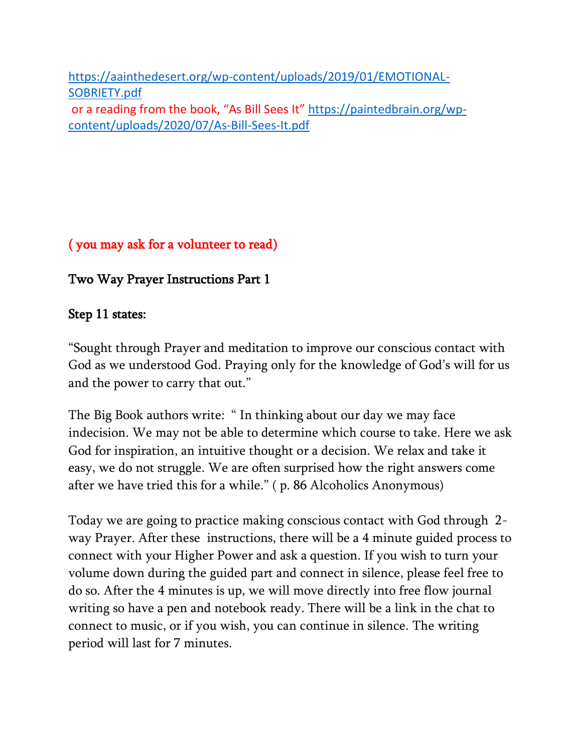[https://aainthedesert.org/wp-content/uploads/2019/01/EMOTIONAL-](https://aainthedesert.org/wp-content/uploads/2019/01/EMOTIONAL-SOBRIETY.pdf)[SOBRIETY.pdf](https://aainthedesert.org/wp-content/uploads/2019/01/EMOTIONAL-SOBRIETY.pdf) or a reading from the book, "As Bill Sees It" [https://paintedbrain.org/wp](https://paintedbrain.org/wp-content/uploads/2020/07/As-Bill-Sees-It.pdf)[content/uploads/2020/07/As-Bill-Sees-It.pdf](https://paintedbrain.org/wp-content/uploads/2020/07/As-Bill-Sees-It.pdf)

( you may ask for a volunteer to read)

Two Way Prayer Instructions Part 1

# Step 11 states:

"Sought through Prayer and meditation to improve our conscious contact with God as we understood God. Praying only for the knowledge of God's will for us and the power to carry that out."

The Big Book authors write: " In thinking about our day we may face indecision. We may not be able to determine which course to take. Here we ask God for inspiration, an intuitive thought or a decision. We relax and take it easy, we do not struggle. We are often surprised how the right answers come after we have tried this for a while." ( p. 86 Alcoholics Anonymous)

Today we are going to practice making conscious contact with God through 2 way Prayer. After these instructions, there will be a 4 minute guided process to connect with your Higher Power and ask a question. If you wish to turn your volume down during the guided part and connect in silence, please feel free to do so. After the 4 minutes is up, we will move directly into free flow journal writing so have a pen and notebook ready. There will be a link in the chat to connect to music, or if you wish, you can continue in silence. The writing period will last for 7 minutes.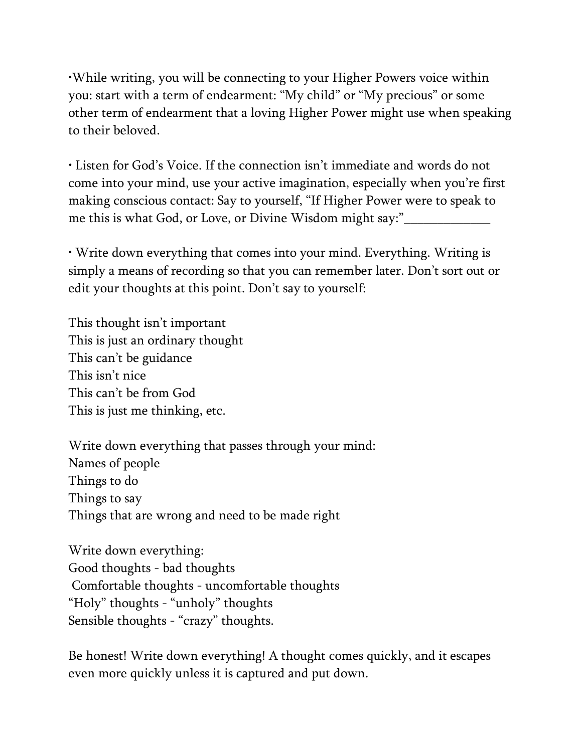•While writing, you will be connecting to your Higher Powers voice within you: start with a term of endearment: "My child" or "My precious" or some other term of endearment that a loving Higher Power might use when speaking to their beloved.

• Listen for God's Voice. If the connection isn't immediate and words do not come into your mind, use your active imagination, especially when you're first making conscious contact: Say to yourself, "If Higher Power were to speak to me this is what God, or Love, or Divine Wisdom might say:"\_\_\_\_\_\_\_\_\_\_\_\_\_

• Write down everything that comes into your mind. Everything. Writing is simply a means of recording so that you can remember later. Don't sort out or edit your thoughts at this point. Don't say to yourself:

This thought isn't important This is just an ordinary thought This can't be guidance This isn't nice This can't be from God This is just me thinking, etc.

Write down everything that passes through your mind: Names of people Things to do Things to say Things that are wrong and need to be made right

Write down everything: Good thoughts - bad thoughts Comfortable thoughts - uncomfortable thoughts "Holy" thoughts - "unholy" thoughts Sensible thoughts - "crazy" thoughts.

Be honest! Write down everything! A thought comes quickly, and it escapes even more quickly unless it is captured and put down.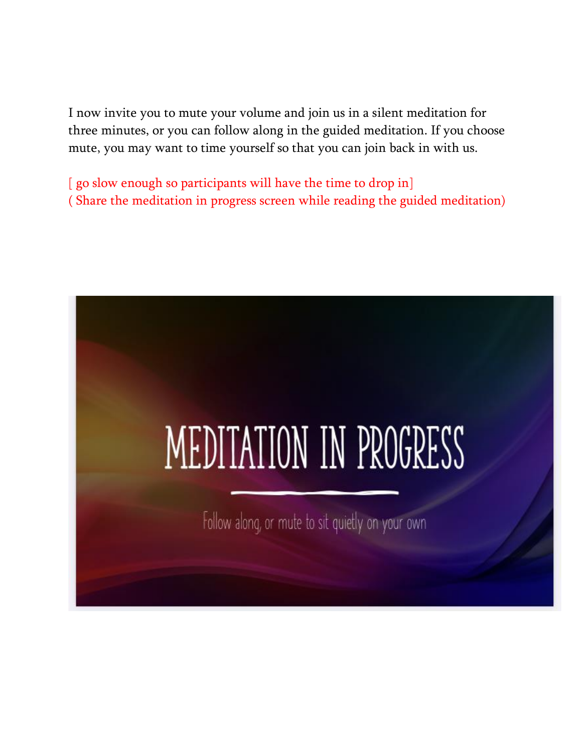I now invite you to mute your volume and join us in a silent meditation for three minutes, or you can follow along in the guided meditation. If you choose mute, you may want to time yourself so that you can join back in with us.

[ go slow enough so participants will have the time to drop in] ( Share the meditation in progress screen while reading the guided meditation)

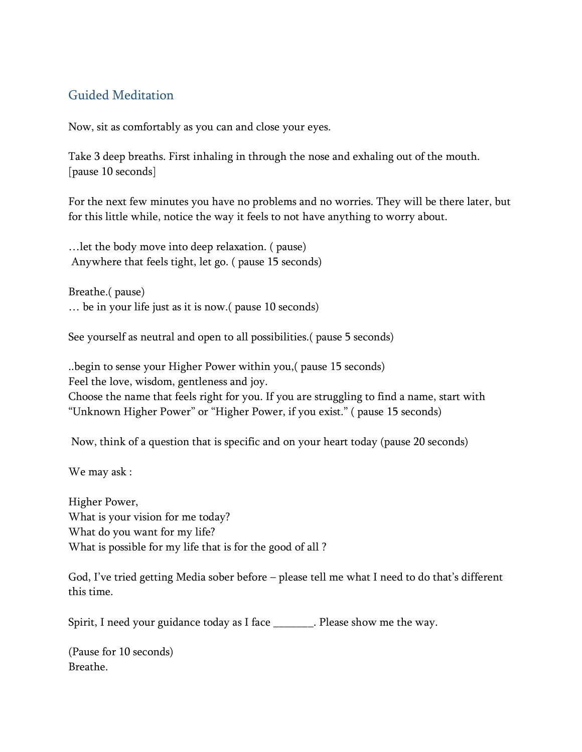## Guided Meditation

Now, sit as comfortably as you can and close your eyes.

Take 3 deep breaths. First inhaling in through the nose and exhaling out of the mouth. [pause 10 seconds]

For the next few minutes you have no problems and no worries. They will be there later, but for this little while, notice the way it feels to not have anything to worry about.

…let the body move into deep relaxation. ( pause) Anywhere that feels tight, let go. ( pause 15 seconds)

Breathe.( pause) … be in your life just as it is now.( pause 10 seconds)

See yourself as neutral and open to all possibilities.( pause 5 seconds)

..begin to sense your Higher Power within you,( pause 15 seconds) Feel the love, wisdom, gentleness and joy. Choose the name that feels right for you. If you are struggling to find a name, start with "Unknown Higher Power" or "Higher Power, if you exist." ( pause 15 seconds)

Now, think of a question that is specific and on your heart today (pause 20 seconds)

We may ask :

Higher Power, What is your vision for me today? What do you want for my life? What is possible for my life that is for the good of all ?

God, I've tried getting Media sober before – please tell me what I need to do that's different this time.

Spirit, I need your guidance today as I face \_\_\_\_\_\_\_. Please show me the way.

(Pause for 10 seconds) Breathe.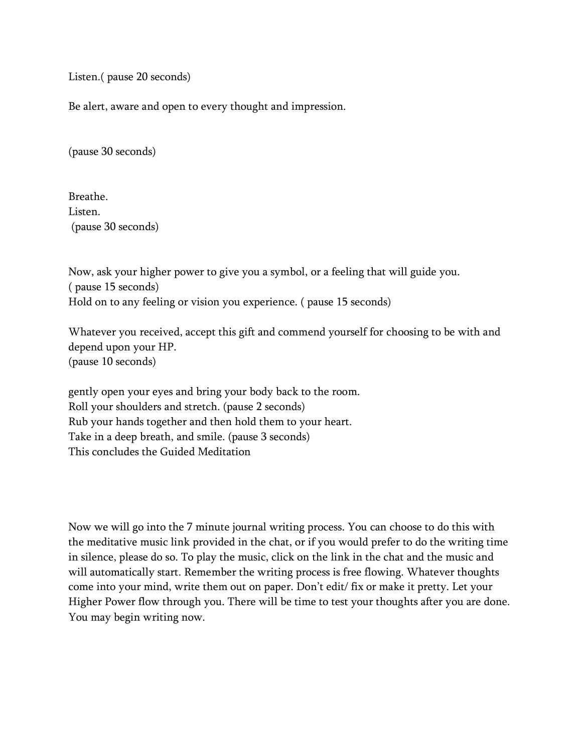Listen.( pause 20 seconds)

Be alert, aware and open to every thought and impression.

(pause 30 seconds)

Breathe. Listen. (pause 30 seconds)

Now, ask your higher power to give you a symbol, or a feeling that will guide you. ( pause 15 seconds) Hold on to any feeling or vision you experience. ( pause 15 seconds)

Whatever you received, accept this gift and commend yourself for choosing to be with and depend upon your HP. (pause 10 seconds)

gently open your eyes and bring your body back to the room. Roll your shoulders and stretch. (pause 2 seconds) Rub your hands together and then hold them to your heart. Take in a deep breath, and smile. (pause 3 seconds) This concludes the Guided Meditation

Now we will go into the 7 minute journal writing process. You can choose to do this with the meditative music link provided in the chat, or if you would prefer to do the writing time in silence, please do so. To play the music, click on the link in the chat and the music and will automatically start. Remember the writing process is free flowing. Whatever thoughts come into your mind, write them out on paper. Don't edit/ fix or make it pretty. Let your Higher Power flow through you. There will be time to test your thoughts after you are done. You may begin writing now.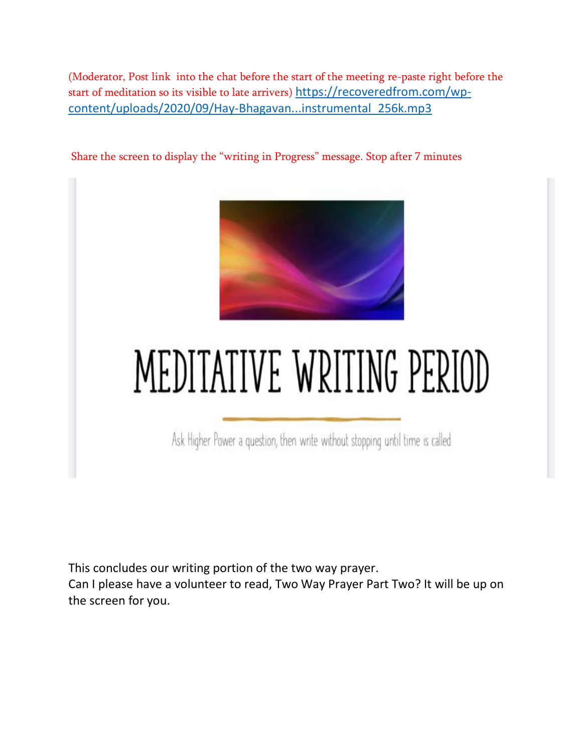(Moderator, Post link into the chat before the start of the meeting re-paste right before the start of meditation so its visible to late arrivers) [https://recoveredfrom.com/wp](https://recoveredfrom.com/wp-content/uploads/2020/09/Hay-Bhagavan...instrumental_256k.mp3)[content/uploads/2020/09/Hay-Bhagavan...instrumental\\_256k.mp3](https://recoveredfrom.com/wp-content/uploads/2020/09/Hay-Bhagavan...instrumental_256k.mp3)

Share the screen to display the "writing in Progress" message. Stop after 7 minutes



# MEDITATIVE WRITING PERIOD

Ask Higher Power a question, then write without stopping until time is called

This concludes our writing portion of the two way prayer.

Can I please have a volunteer to read, Two Way Prayer Part Two? It will be up on the screen for you.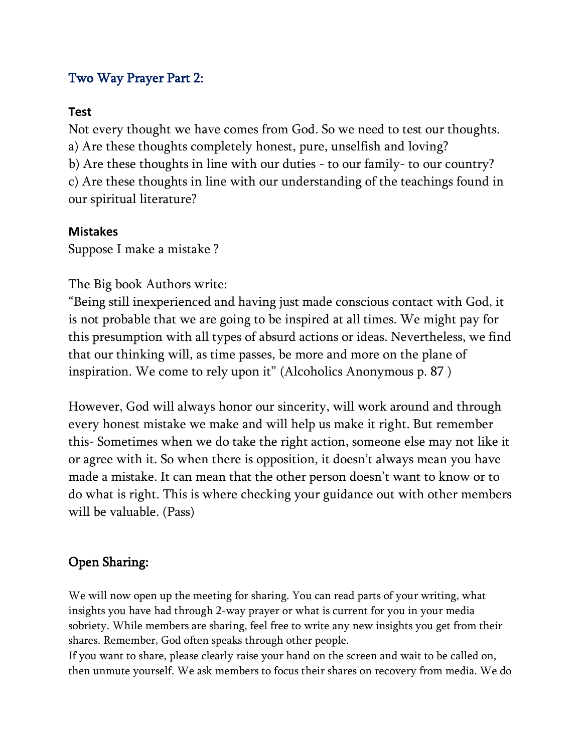## Two Way Prayer Part 2:

## **Test**

Not every thought we have comes from God. So we need to test our thoughts. a) Are these thoughts completely honest, pure, unselfish and loving? b) Are these thoughts in line with our duties - to our family- to our country? c) Are these thoughts in line with our understanding of the teachings found in our spiritual literature?

## **Mistakes**

Suppose I make a mistake ?

The Big book Authors write:

"Being still inexperienced and having just made conscious contact with God, it is not probable that we are going to be inspired at all times. We might pay for this presumption with all types of absurd actions or ideas. Nevertheless, we find that our thinking will, as time passes, be more and more on the plane of inspiration. We come to rely upon it" (Alcoholics Anonymous p. 87 )

However, God will always honor our sincerity, will work around and through every honest mistake we make and will help us make it right. But remember this- Sometimes when we do take the right action, someone else may not like it or agree with it. So when there is opposition, it doesn't always mean you have made a mistake. It can mean that the other person doesn't want to know or to do what is right. This is where checking your guidance out with other members will be valuable. (Pass)

# Open Sharing:

We will now open up the meeting for sharing. You can read parts of your writing, what insights you have had through 2-way prayer or what is current for you in your media sobriety. While members are sharing, feel free to write any new insights you get from their shares. Remember, God often speaks through other people.

If you want to share, please clearly raise your hand on the screen and wait to be called on, then unmute yourself. We ask members to focus their shares on recovery from media. We do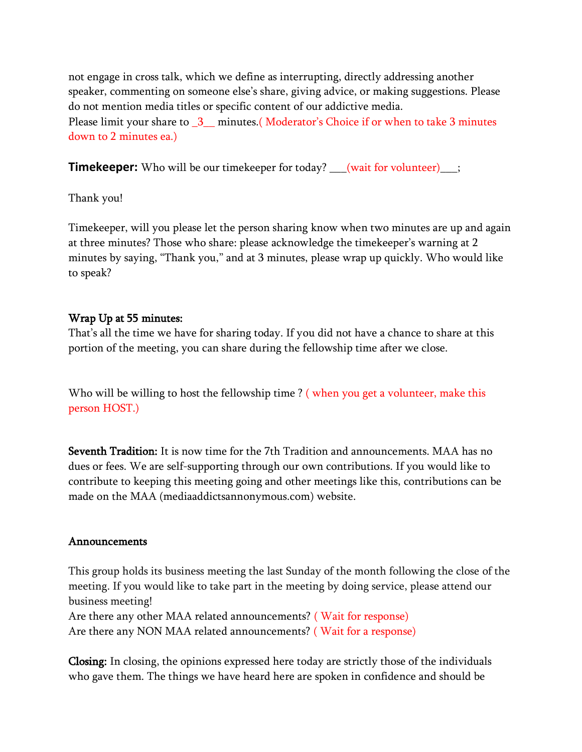not engage in cross talk, which we define as interrupting, directly addressing another speaker, commenting on someone else's share, giving advice, or making suggestions. Please do not mention media titles or specific content of our addictive media. Please limit your share to  $\frac{3}{2}$  minutes.(Moderator's Choice if or when to take 3 minutes down to 2 minutes ea.)

**Timekeeper:** Who will be our timekeeper for today? \_\_\_(wait for volunteer)\_\_\_;

Thank you!

Timekeeper, will you please let the person sharing know when two minutes are up and again at three minutes? Those who share: please acknowledge the timekeeper's warning at 2 minutes by saying, "Thank you," and at 3 minutes, please wrap up quickly. Who would like to speak?

## Wrap Up at 55 minutes:

That's all the time we have for sharing today. If you did not have a chance to share at this portion of the meeting, you can share during the fellowship time after we close.

Who will be willing to host the fellowship time ? ( when you get a volunteer, make this person HOST.)

Seventh Tradition: It is now time for the 7th Tradition and announcements. MAA has no dues or fees. We are self-supporting through our own contributions. If you would like to contribute to keeping this meeting going and other meetings like this, contributions can be made on the MAA (mediaaddictsannonymous.com) website.

## Announcements

This group holds its business meeting the last Sunday of the month following the close of the meeting. If you would like to take part in the meeting by doing service, please attend our business meeting!

Are there any other MAA related announcements? ( Wait for response) Are there any NON MAA related announcements? ( Wait for a response)

Closing: In closing, the opinions expressed here today are strictly those of the individuals who gave them. The things we have heard here are spoken in confidence and should be